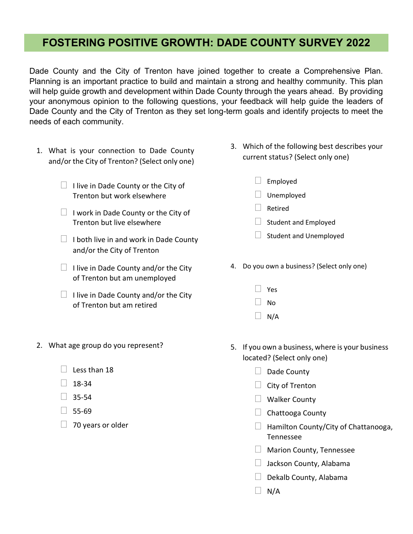## FOSTERING POSITIVE GROWTH: DADE COUNTY SURVEY 2022

Dade County and the City of Trenton have joined together to create a Comprehensive Plan. Planning is an important practice to build and maintain a strong and healthy community. This plan will help guide growth and development within Dade County through the years ahead. By providing your anonymous opinion to the following questions, your feedback will help guide the leaders of Dade County and the City of Trenton as they set long-term goals and identify projects to meet the needs of each community.

- 1. What is your connection to Dade County and/or the City of Trenton? (Select only one)
	- $\Box$  I live in Dade County or the City of Trenton but work elsewhere
	- $\Box$  I work in Dade County or the City of Trenton but live elsewhere
	- $\Box$  I both live in and work in Dade County and/or the City of Trenton
	- $\Box$  I live in Dade County and/or the City of Trenton but am unemployed
	- $\Box$  I live in Dade County and/or the City of Trenton but am retired
- 3. Which of the following best describes your current status? (Select only one)
	- $\Box$  Employed
	- $\Box$  Unemployed
	- Retired
	- $\Box$  Student and Employed
	- $\Box$  Student and Unemployed
- 4. Do you own a business? (Select only one)
	- Yes
	- No
	- $\Box$  N/A

- 2. What age group do you represent?
	- $\Box$  Less than 18
	- $\Box$  18-34
	- $\Box$  35-54
	- $\Box$  55-69
	- $\Box$  70 years or older
- 5. If you own a business, where is your business located? (Select only one)
	- $\Box$  Dade County
	- $\Box$  City of Trenton
	- Walker County
	- $\Box$  Chattooga County
	- $\Box$  Hamilton County/City of Chattanooga, Tennessee
	- **Marion County, Tennessee**
	- $\Box$  Jackson County, Alabama
	- $\Box$  Dekalb County, Alabama
	- $\Box$  N/A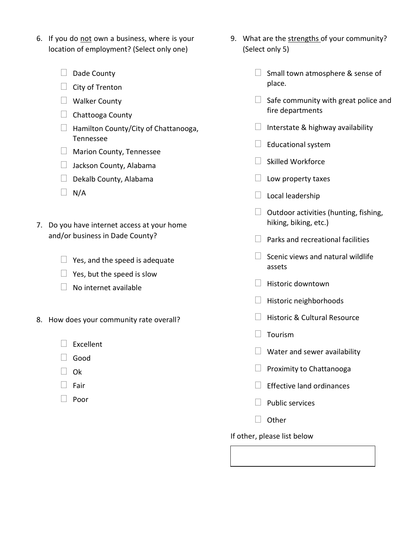- 6. If you do not own a business, where is your location of employment? (Select only one)
	- $\Box$  Dade County
	- $\Box$  City of Trenton
	- $\Box$  Walker County
	- $\Box$  Chattooga County
	- $\Box$  Hamilton County/City of Chattanooga, Tennessee
	- **Marion County, Tennessee**
	- $\Box$  Jackson County, Alabama
	- $\Box$  Dekalb County, Alabama
	- $\Box$  N/A
- 7. Do you have internet access at your home and/or business in Dade County?
	- $\Box$  Yes, and the speed is adequate
	- $\Box$  Yes, but the speed is slow
	- $\Box$  No internet available
- 8. How does your community rate overall?
	- $\Box$  Excellent
	- $\Box$  Good
	- $\Box$  Ok
	- $\Box$  Fair
	- $\Box$  Poor
- 9. What are the strengths of your community? (Select only 5)
	- $\Box$  Small town atmosphere & sense of place.
	- $\Box$  Safe community with great police and fire departments
	- $\Box$  Interstate & highway availability
	- $\Box$  Educational system
	- $\Box$  Skilled Workforce
	- $\Box$  Low property taxes
	- $\Box$  Local leadership
	- $\Box$  Outdoor activities (hunting, fishing, hiking, biking, etc.)
	- $\Box$  Parks and recreational facilities
	- $\Box$  Scenic views and natural wildlife assets
	- $\Box$  Historic downtown
	- $\Box$  Historic neighborhoods
	- $\Box$  Historic & Cultural Resource
	- $\Box$  Tourism
	- $\Box$  Water and sewer availability
	- $\Box$  Proximity to Chattanooga
	- $\Box$  Effective land ordinances
	- $\Box$  Public services
	- $\Box$  Other

If other, please list below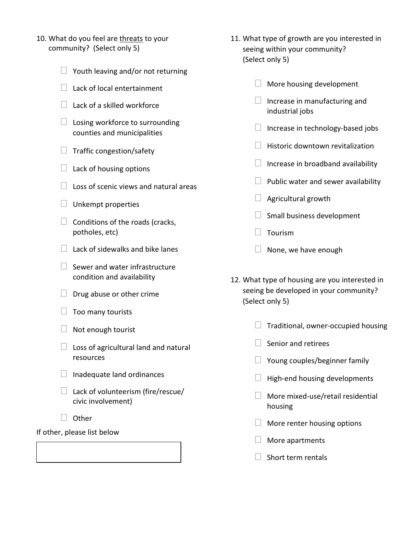- 10. What do you feel are threats to your community? (Select only 5)
	- $\Box$  Youth leaving and/or not returning
	- $\Box$  Lack of local entertainment
	- $\Box$  Lack of a skilled workforce
	- $\Box$  Losing workforce to surrounding counties and municipalities
	- $\Box$  Traffic congestion/safety
	- $\Box$  Lack of housing options
	- $\Box$  Loss of scenic views and natural areas
	- $\Box$  Unkempt properties
	- $\Box$  Conditions of the roads (cracks, potholes, etc)
	- $\Box$  Lack of sidewalks and bike lanes
	- $\Box$  Sewer and water infrastructure condition and availability
	- $\Box$  Drug abuse or other crime
	- $\Box$  Too many tourists
	- $\Box$  Not enough tourist
	- $\Box$  Loss of agricultural land and natural resources
	- $\Box$  Inadequate land ordinances
	- $\Box$  Lack of volunteerism (fire/rescue/ civic involvement)
	- $\Box$  Other

If other, please list below

- 11. What type of growth are you interested in seeing within your community? (Select only 5)
	- $\Box$  More housing development
	- $\Box$  Increase in manufacturing and industrial jobs
	- $\Box$  Increase in technology-based jobs
	- $\Box$  Historic downtown revitalization
	- $\Box$  Increase in broadband availability
	- $\Box$  Public water and sewer availability
	- $\Box$  Agricultural growth
	- $\Box$  Small business development
	- $\Box$  Tourism
	- $\Box$  None, we have enough
- 12. What type of housing are you interested in seeing be developed in your community? (Select only 5)
	- $\Box$  Traditional, owner-occupied housing
	- $\vert \vert$  Senior and retirees
	- $\Box$  Young couples/beginner family
	- $\Box$  High-end housing developments
	- $\Box$  More mixed-use/retail residential housing
	- $\Box$  More renter housing options
	- $\Box$  More apartments
	- $\Box$  Short term rentals